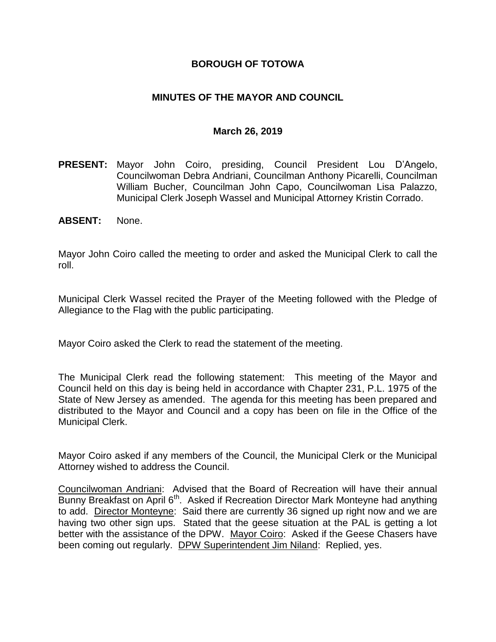## **BOROUGH OF TOTOWA**

## **MINUTES OF THE MAYOR AND COUNCIL**

#### **March 26, 2019**

- **PRESENT:** Mayor John Coiro, presiding, Council President Lou D'Angelo, Councilwoman Debra Andriani, Councilman Anthony Picarelli, Councilman William Bucher, Councilman John Capo, Councilwoman Lisa Palazzo, Municipal Clerk Joseph Wassel and Municipal Attorney Kristin Corrado.
- **ABSENT:** None.

Mayor John Coiro called the meeting to order and asked the Municipal Clerk to call the roll.

Municipal Clerk Wassel recited the Prayer of the Meeting followed with the Pledge of Allegiance to the Flag with the public participating.

Mayor Coiro asked the Clerk to read the statement of the meeting.

The Municipal Clerk read the following statement: This meeting of the Mayor and Council held on this day is being held in accordance with Chapter 231, P.L. 1975 of the State of New Jersey as amended. The agenda for this meeting has been prepared and distributed to the Mayor and Council and a copy has been on file in the Office of the Municipal Clerk.

Mayor Coiro asked if any members of the Council, the Municipal Clerk or the Municipal Attorney wished to address the Council.

Councilwoman Andriani: Advised that the Board of Recreation will have their annual Bunny Breakfast on April 6<sup>th</sup>. Asked if Recreation Director Mark Monteyne had anything to add. Director Monteyne: Said there are currently 36 signed up right now and we are having two other sign ups. Stated that the geese situation at the PAL is getting a lot better with the assistance of the DPW. Mayor Coiro: Asked if the Geese Chasers have been coming out regularly. DPW Superintendent Jim Niland: Replied, yes.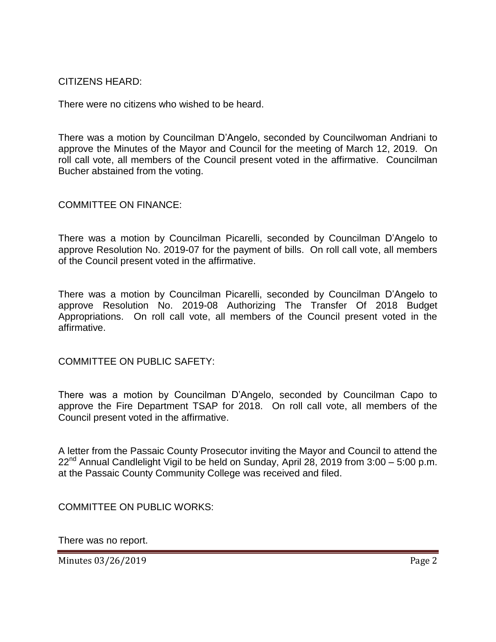#### CITIZENS HEARD:

There were no citizens who wished to be heard.

There was a motion by Councilman D'Angelo, seconded by Councilwoman Andriani to approve the Minutes of the Mayor and Council for the meeting of March 12, 2019. On roll call vote, all members of the Council present voted in the affirmative. Councilman Bucher abstained from the voting.

COMMITTEE ON FINANCE:

There was a motion by Councilman Picarelli, seconded by Councilman D'Angelo to approve Resolution No. 2019-07 for the payment of bills. On roll call vote, all members of the Council present voted in the affirmative.

There was a motion by Councilman Picarelli, seconded by Councilman D'Angelo to approve Resolution No. 2019-08 Authorizing The Transfer Of 2018 Budget Appropriations. On roll call vote, all members of the Council present voted in the affirmative.

COMMITTEE ON PUBLIC SAFETY:

There was a motion by Councilman D'Angelo, seconded by Councilman Capo to approve the Fire Department TSAP for 2018. On roll call vote, all members of the Council present voted in the affirmative.

A letter from the Passaic County Prosecutor inviting the Mayor and Council to attend the  $22<sup>nd</sup>$  Annual Candlelight Vigil to be held on Sunday, April 28, 2019 from 3:00 – 5:00 p.m. at the Passaic County Community College was received and filed.

COMMITTEE ON PUBLIC WORKS:

There was no report.

Minutes 03/26/2019 **Page 2**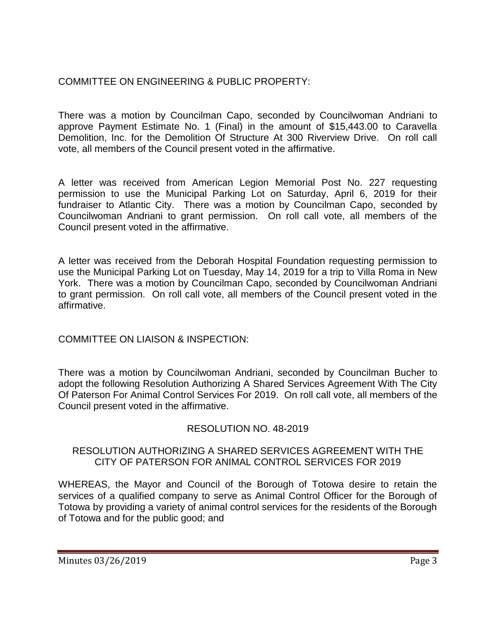# COMMITTEE ON ENGINEERING & PUBLIC PROPERTY:

There was a motion by Councilman Capo, seconded by Councilwoman Andriani to approve Payment Estimate No. 1 (Final) in the amount of \$15,443.00 to Caravella Demolition, Inc. for the Demolition Of Structure At 300 Riverview Drive. On roll call vote, all members of the Council present voted in the affirmative.

A letter was received from American Legion Memorial Post No. 227 requesting permission to use the Municipal Parking Lot on Saturday, April 6, 2019 for their fundraiser to Atlantic City. There was a motion by Councilman Capo, seconded by Councilwoman Andriani to grant permission. On roll call vote, all members of the Council present voted in the affirmative.

A letter was received from the Deborah Hospital Foundation requesting permission to use the Municipal Parking Lot on Tuesday, May 14, 2019 for a trip to Villa Roma in New York. There was a motion by Councilman Capo, seconded by Councilwoman Andriani to grant permission. On roll call vote, all members of the Council present voted in the affirmative.

## COMMITTEE ON LIAISON & INSPECTION:

There was a motion by Councilwoman Andriani, seconded by Councilman Bucher to adopt the following Resolution Authorizing A Shared Services Agreement With The City Of Paterson For Animal Control Services For 2019. On roll call vote, all members of the Council present voted in the affirmative.

## RESOLUTION NO. 48-2019

## RESOLUTION AUTHORIZING A SHARED SERVICES AGREEMENT WITH THE CITY OF PATERSON FOR ANIMAL CONTROL SERVICES FOR 2019

WHEREAS, the Mayor and Council of the Borough of Totowa desire to retain the services of a qualified company to serve as Animal Control Officer for the Borough of Totowa by providing a variety of animal control services for the residents of the Borough of Totowa and for the public good; and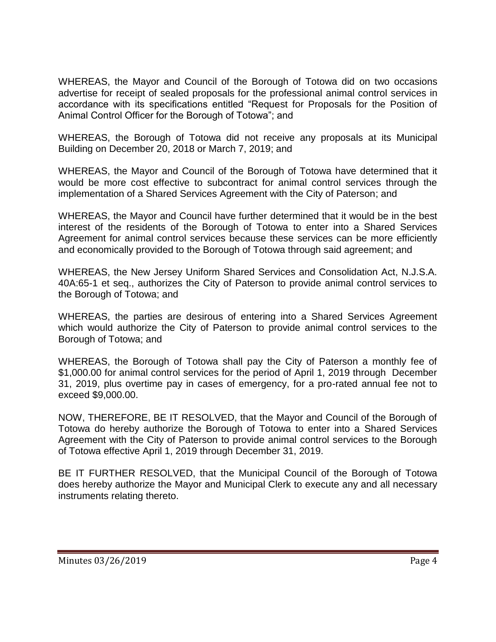WHEREAS, the Mayor and Council of the Borough of Totowa did on two occasions advertise for receipt of sealed proposals for the professional animal control services in accordance with its specifications entitled "Request for Proposals for the Position of Animal Control Officer for the Borough of Totowa"; and

WHEREAS, the Borough of Totowa did not receive any proposals at its Municipal Building on December 20, 2018 or March 7, 2019; and

WHEREAS, the Mayor and Council of the Borough of Totowa have determined that it would be more cost effective to subcontract for animal control services through the implementation of a Shared Services Agreement with the City of Paterson; and

WHEREAS, the Mayor and Council have further determined that it would be in the best interest of the residents of the Borough of Totowa to enter into a Shared Services Agreement for animal control services because these services can be more efficiently and economically provided to the Borough of Totowa through said agreement; and

WHEREAS, the New Jersey Uniform Shared Services and Consolidation Act, N.J.S.A. 40A:65-1 et seq., authorizes the City of Paterson to provide animal control services to the Borough of Totowa; and

WHEREAS, the parties are desirous of entering into a Shared Services Agreement which would authorize the City of Paterson to provide animal control services to the Borough of Totowa; and

WHEREAS, the Borough of Totowa shall pay the City of Paterson a monthly fee of \$1,000.00 for animal control services for the period of April 1, 2019 through December 31, 2019, plus overtime pay in cases of emergency, for a pro-rated annual fee not to exceed \$9,000.00.

NOW, THEREFORE, BE IT RESOLVED, that the Mayor and Council of the Borough of Totowa do hereby authorize the Borough of Totowa to enter into a Shared Services Agreement with the City of Paterson to provide animal control services to the Borough of Totowa effective April 1, 2019 through December 31, 2019.

BE IT FURTHER RESOLVED, that the Municipal Council of the Borough of Totowa does hereby authorize the Mayor and Municipal Clerk to execute any and all necessary instruments relating thereto.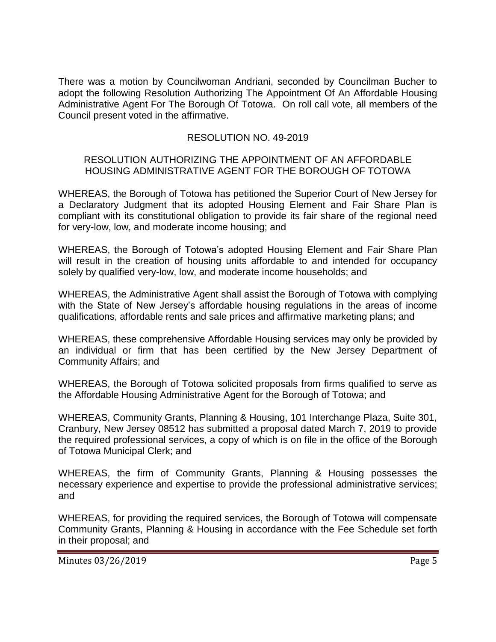There was a motion by Councilwoman Andriani, seconded by Councilman Bucher to adopt the following Resolution Authorizing The Appointment Of An Affordable Housing Administrative Agent For The Borough Of Totowa. On roll call vote, all members of the Council present voted in the affirmative.

## RESOLUTION NO. 49-2019

#### RESOLUTION AUTHORIZING THE APPOINTMENT OF AN AFFORDABLE HOUSING ADMINISTRATIVE AGENT FOR THE BOROUGH OF TOTOWA

WHEREAS, the Borough of Totowa has petitioned the Superior Court of New Jersey for a Declaratory Judgment that its adopted Housing Element and Fair Share Plan is compliant with its constitutional obligation to provide its fair share of the regional need for very-low, low, and moderate income housing; and

WHEREAS, the Borough of Totowa's adopted Housing Element and Fair Share Plan will result in the creation of housing units affordable to and intended for occupancy solely by qualified very-low, low, and moderate income households; and

WHEREAS, the Administrative Agent shall assist the Borough of Totowa with complying with the State of New Jersey's affordable housing regulations in the areas of income qualifications, affordable rents and sale prices and affirmative marketing plans; and

WHEREAS, these comprehensive Affordable Housing services may only be provided by an individual or firm that has been certified by the New Jersey Department of Community Affairs; and

WHEREAS, the Borough of Totowa solicited proposals from firms qualified to serve as the Affordable Housing Administrative Agent for the Borough of Totowa; and

WHEREAS, Community Grants, Planning & Housing, 101 Interchange Plaza, Suite 301, Cranbury, New Jersey 08512 has submitted a proposal dated March 7, 2019 to provide the required professional services, a copy of which is on file in the office of the Borough of Totowa Municipal Clerk; and

WHEREAS, the firm of Community Grants, Planning & Housing possesses the necessary experience and expertise to provide the professional administrative services; and

WHEREAS, for providing the required services, the Borough of Totowa will compensate Community Grants, Planning & Housing in accordance with the Fee Schedule set forth in their proposal; and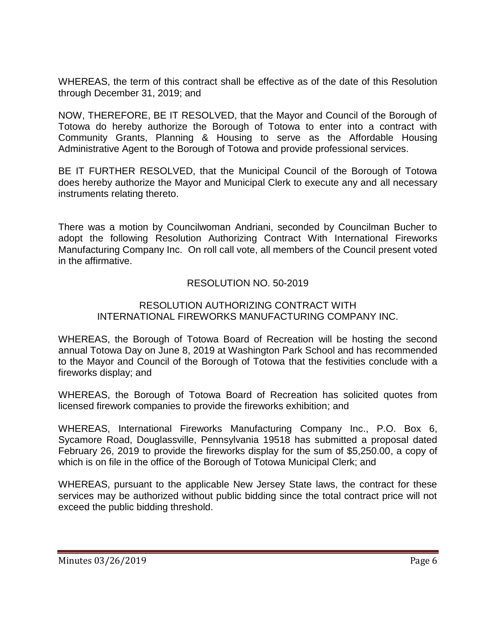WHEREAS, the term of this contract shall be effective as of the date of this Resolution through December 31, 2019; and

NOW, THEREFORE, BE IT RESOLVED, that the Mayor and Council of the Borough of Totowa do hereby authorize the Borough of Totowa to enter into a contract with Community Grants, Planning & Housing to serve as the Affordable Housing Administrative Agent to the Borough of Totowa and provide professional services.

BE IT FURTHER RESOLVED, that the Municipal Council of the Borough of Totowa does hereby authorize the Mayor and Municipal Clerk to execute any and all necessary instruments relating thereto.

There was a motion by Councilwoman Andriani, seconded by Councilman Bucher to adopt the following Resolution Authorizing Contract With International Fireworks Manufacturing Company Inc. On roll call vote, all members of the Council present voted in the affirmative.

## RESOLUTION NO. 50-2019

#### RESOLUTION AUTHORIZING CONTRACT WITH INTERNATIONAL FIREWORKS MANUFACTURING COMPANY INC.

WHEREAS, the Borough of Totowa Board of Recreation will be hosting the second annual Totowa Day on June 8, 2019 at Washington Park School and has recommended to the Mayor and Council of the Borough of Totowa that the festivities conclude with a fireworks display; and

WHEREAS, the Borough of Totowa Board of Recreation has solicited quotes from licensed firework companies to provide the fireworks exhibition; and

WHEREAS, International Fireworks Manufacturing Company Inc., P.O. Box 6, Sycamore Road, Douglassville, Pennsylvania 19518 has submitted a proposal dated February 26, 2019 to provide the fireworks display for the sum of \$5,250.00, a copy of which is on file in the office of the Borough of Totowa Municipal Clerk; and

WHEREAS, pursuant to the applicable New Jersey State laws, the contract for these services may be authorized without public bidding since the total contract price will not exceed the public bidding threshold.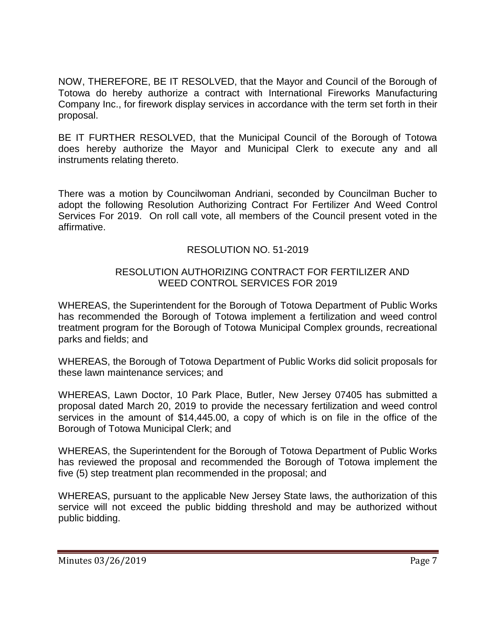NOW, THEREFORE, BE IT RESOLVED, that the Mayor and Council of the Borough of Totowa do hereby authorize a contract with International Fireworks Manufacturing Company Inc., for firework display services in accordance with the term set forth in their proposal.

BE IT FURTHER RESOLVED, that the Municipal Council of the Borough of Totowa does hereby authorize the Mayor and Municipal Clerk to execute any and all instruments relating thereto.

There was a motion by Councilwoman Andriani, seconded by Councilman Bucher to adopt the following Resolution Authorizing Contract For Fertilizer And Weed Control Services For 2019. On roll call vote, all members of the Council present voted in the affirmative.

# RESOLUTION NO. 51-2019

## RESOLUTION AUTHORIZING CONTRACT FOR FERTILIZER AND WEED CONTROL SERVICES FOR 2019

WHEREAS, the Superintendent for the Borough of Totowa Department of Public Works has recommended the Borough of Totowa implement a fertilization and weed control treatment program for the Borough of Totowa Municipal Complex grounds, recreational parks and fields; and

WHEREAS, the Borough of Totowa Department of Public Works did solicit proposals for these lawn maintenance services; and

WHEREAS, Lawn Doctor, 10 Park Place, Butler, New Jersey 07405 has submitted a proposal dated March 20, 2019 to provide the necessary fertilization and weed control services in the amount of \$14,445.00, a copy of which is on file in the office of the Borough of Totowa Municipal Clerk; and

WHEREAS, the Superintendent for the Borough of Totowa Department of Public Works has reviewed the proposal and recommended the Borough of Totowa implement the five (5) step treatment plan recommended in the proposal; and

WHEREAS, pursuant to the applicable New Jersey State laws, the authorization of this service will not exceed the public bidding threshold and may be authorized without public bidding.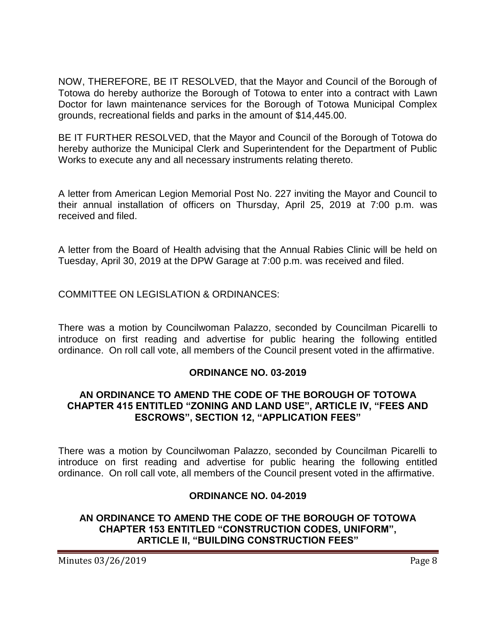NOW, THEREFORE, BE IT RESOLVED, that the Mayor and Council of the Borough of Totowa do hereby authorize the Borough of Totowa to enter into a contract with Lawn Doctor for lawn maintenance services for the Borough of Totowa Municipal Complex grounds, recreational fields and parks in the amount of \$14,445.00.

BE IT FURTHER RESOLVED, that the Mayor and Council of the Borough of Totowa do hereby authorize the Municipal Clerk and Superintendent for the Department of Public Works to execute any and all necessary instruments relating thereto.

A letter from American Legion Memorial Post No. 227 inviting the Mayor and Council to their annual installation of officers on Thursday, April 25, 2019 at 7:00 p.m. was received and filed.

A letter from the Board of Health advising that the Annual Rabies Clinic will be held on Tuesday, April 30, 2019 at the DPW Garage at 7:00 p.m. was received and filed.

COMMITTEE ON LEGISLATION & ORDINANCES:

There was a motion by Councilwoman Palazzo, seconded by Councilman Picarelli to introduce on first reading and advertise for public hearing the following entitled ordinance. On roll call vote, all members of the Council present voted in the affirmative.

## **ORDINANCE NO. 03-2019**

## **AN ORDINANCE TO AMEND THE CODE OF THE BOROUGH OF TOTOWA CHAPTER 415 ENTITLED "ZONING AND LAND USE", ARTICLE IV, "FEES AND ESCROWS", SECTION 12, "APPLICATION FEES"**

There was a motion by Councilwoman Palazzo, seconded by Councilman Picarelli to introduce on first reading and advertise for public hearing the following entitled ordinance. On roll call vote, all members of the Council present voted in the affirmative.

#### **ORDINANCE NO. 04-2019**

## **AN ORDINANCE TO AMEND THE CODE OF THE BOROUGH OF TOTOWA CHAPTER 153 ENTITLED "CONSTRUCTION CODES, UNIFORM", ARTICLE II, "BUILDING CONSTRUCTION FEES"**